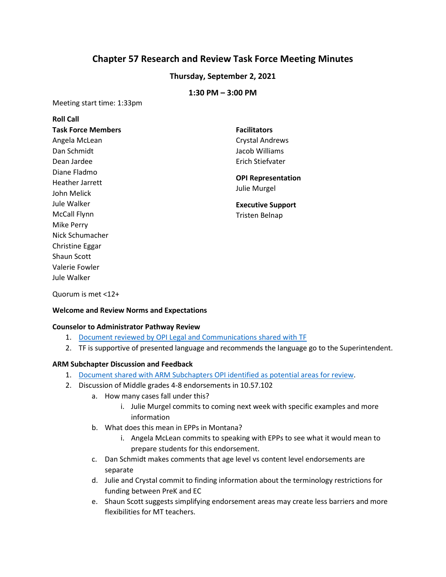# **Chapter 57 Research and Review Task Force Meeting Minutes**

## **Thursday, September 2, 2021**

## **1:30 PM – 3:00 PM**

Meeting start time: 1:33pm

| <b>Roll Call</b>          |                                           |
|---------------------------|-------------------------------------------|
| <b>Task Force Members</b> | <b>Facilitators</b>                       |
| Angela McLean             | <b>Crystal Andrews</b>                    |
| Dan Schmidt               | Jacob Williams                            |
| Dean Jardee               | Erich Stiefvater                          |
| Diane Fladmo              | <b>OPI Representation</b><br>Julie Murgel |
| <b>Heather Jarrett</b>    |                                           |
| John Melick               |                                           |
| Jule Walker               | <b>Executive Support</b>                  |
| <b>McCall Flynn</b>       | Tristen Belnap                            |
| <b>Mike Perry</b>         |                                           |
| Nick Schumacher           |                                           |
| <b>Christine Eggar</b>    |                                           |
| Shaun Scott               |                                           |
| Valerie Fowler            |                                           |
| Jule Walker               |                                           |

Quorum is met <12+

### **Welcome and Review Norms and Expectations**

#### **Counselor to Administrator Pathway Review**

- 1. [Document reviewed by OPI Legal and Communications shared with TF](https://drive.google.com/file/d/1DdF3r3uipWgL0Zkju-NBdY4daWYZ15Jn/view?usp=sharing)
- 2. TF is supportive of presented language and recommends the language go to the Superintendent.

### **ARM Subchapter Discussion and Feedback**

- 1. [Document shared with ARM Subchapters OPI identified as potential](https://docs.google.com/presentation/d/1pMhj4Jr1rGRkucQI6N7YO-xpTszoZ_va/edit?usp=sharing&ouid=103980653118195900680&rtpof=true&sd=true) areas for review.
- 2. Discussion of Middle grades 4-8 endorsements in 10.57.102
	- a. How many cases fall under this?
		- i. Julie Murgel commits to coming next week with specific examples and more information
	- b. What does this mean in EPPs in Montana?
		- i. Angela McLean commits to speaking with EPPs to see what it would mean to prepare students for this endorsement.
	- c. Dan Schmidt makes comments that age level vs content level endorsements are separate
	- d. Julie and Crystal commit to finding information about the terminology restrictions for funding between PreK and EC
	- e. Shaun Scott suggests simplifying endorsement areas may create less barriers and more flexibilities for MT teachers.